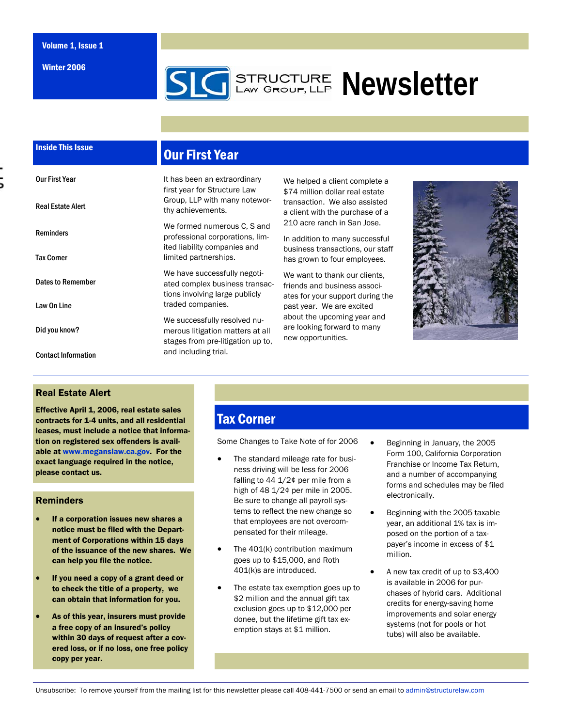Winter 2006

# **SLG** STRUCTURE Newsletter

## Inside This Issue

Our First Year

Real Estate Alert

Reminders

Tax Corner

Law On Line

Did you know?

Contact Information

Dates to Remember

# Our First Year

It has been an extraordinary first year for Structure Law Group, LLP with many noteworthy achievements.

We formed numerous C, S and professional corporations, limited liability companies and limited partnerships.

We have successfully negotiated complex business transactions involving large publicly traded companies.

We successfully resolved numerous litigation matters at all stages from pre-litigation up to, and including trial.

We helped a client complete a \$74 million dollar real estate transaction. We also assisted a client with the purchase of a 210 acre ranch in San Jose.

In addition to many successful business transactions, our staff has grown to four employees.

We want to thank our clients. friends and business associates for your support during the past year. We are excited about the upcoming year and are looking forward to many new opportunities.



#### Real Estate Alert

Effective April 1, 2006, real estate sales contracts for 1-4 units, and all residential leases, must include a notice that information on registered sex offenders is available at www.meganslaw.ca.gov. For the exact language required in the notice, please contact us.

#### Reminders

- If a corporation issues new shares a notice must be filed with the Department of Corporations within 15 days of the issuance of the new shares. We can help you file the notice.
- If you need a copy of a grant deed or to check the title of a property, we can obtain that information for you.
- As of this year, insurers must provide a free copy of an insured's policy within 30 days of request after a covered loss, or if no loss, one free policy copy per year.

## Tax Corner

Some Changes to Take Note of for 2006

- The standard mileage rate for business driving will be less for 2006 falling to 44 1/2¢ per mile from a high of 48 1/2¢ per mile in 2005. Be sure to change all payroll systems to reflect the new change so that employees are not overcompensated for their mileage.
- The  $401(k)$  contribution maximum goes up to \$15,000, and Roth 401(k)s are introduced.
- The estate tax exemption goes up to \$2 million and the annual gift tax exclusion goes up to \$12,000 per donee, but the lifetime gift tax exemption stays at \$1 million.
- Beginning in January, the 2005 Form 100, California Corporation Franchise or Income Tax Return, and a number of accompanying forms and schedules may be filed electronically.
- Beginning with the 2005 taxable year, an additional 1% tax is imposed on the portion of a taxpayer's income in excess of \$1 million.
- A new tax credit of up to \$3,400 is available in 2006 for purchases of hybrid cars. Additional credits for energy-saving home improvements and solar energy systems (not for pools or hot tubs) will also be available.